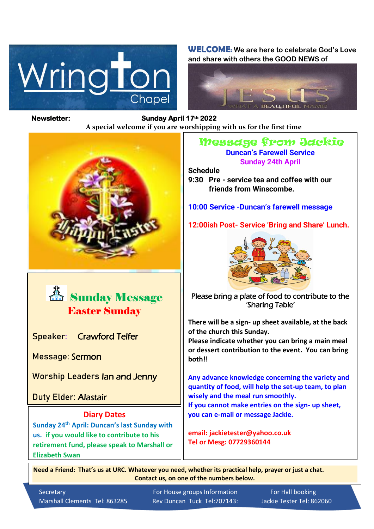

**WELCOME: We are here to celebrate God's Love and share with others the GOOD NEWS of**



## **Newsletter: Sunday April 17th 2022**

*Figure 1ready steady* **A special welcome if you are worshipping with us for the first time**





**Speaker:** Crawford Telfer

**Message:** Sermon

**Worship Leaders** Ian and Jenny

**Duty Elder:** Alastair

ֺ֖֚֝֬

## **Diary Dates**

**Sunday 24th April: Duncan's last Sunday with us. if you would like to contribute to his retirement fund, please speak to Marshall or Elizabeth Swan**

## Message from Jackie

**Duncan's Farewell Service Sunday 24th April**

**Schedule**

**9:30 Pre - service tea and coffee with our friends from Winscombe.**

**10:00 Service -Duncan's farewell message**

**12:00ish Post- Service 'Bring and Share' Lunch.**



Please bring a plate of food to contribute to the 'Sharing Table'

**There will be a sign- up sheet available, at the back of the church this Sunday.**

**Please indicate whether you can bring a main meal or dessert contribution to the event. You can bring both!!**

**Any advance knowledge concerning the variety and quantity of food, will help the set-up team, to plan wisely and the meal run smoothly. If you cannot make entries on the sign- up sheet, you can e-mail or message Jackie.**

**email: jackietester@yahoo.co.uk Tel or Mesg: 07729360144**

 **Need a Friend: That's us at URC. Whatever you need, whether its practical help, prayer or just a chat. Contact us, on one of the numbers below.**

Marshall Clements Tel: 863285 Rev Duncan Tuck Tel:707143: Jackie Tester Tel: 862060

Secretary **For House groups Information** For Hall booking